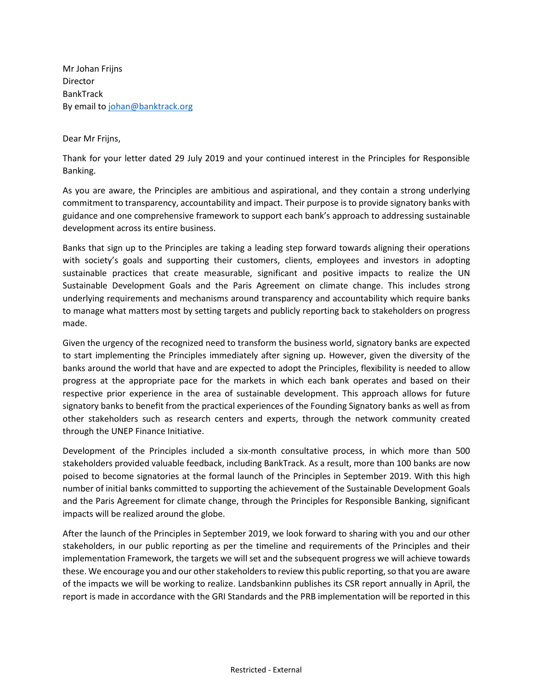Mr Johan Frijns Director BankTrack By email t[o johan@banktrack.org](mailto:johan@banktrack.org)

Dear Mr Frijns,

Thank for your letter dated 29 July 2019 and your continued interest in the Principles for Responsible Banking.

As you are aware, the Principles are ambitious and aspirational, and they contain a strong underlying commitment to transparency, accountability and impact. Their purpose is to provide signatory banks with guidance and one comprehensive framework to support each bank's approach to addressing sustainable development across its entire business.

Banks that sign up to the Principles are taking a leading step forward towards aligning their operations with society's goals and supporting their customers, clients, employees and investors in adopting sustainable practices that create measurable, significant and positive impacts to realize the UN Sustainable Development Goals and the Paris Agreement on climate change. This includes strong underlying requirements and mechanisms around transparency and accountability which require banks to manage what matters most by setting targets and publicly reporting back to stakeholders on progress made.

Given the urgency of the recognized need to transform the business world, signatory banks are expected to start implementing the Principles immediately after signing up. However, given the diversity of the banks around the world that have and are expected to adopt the Principles, flexibility is needed to allow progress at the appropriate pace for the markets in which each bank operates and based on their respective prior experience in the area of sustainable development. This approach allows for future signatory banks to benefit from the practical experiences of the Founding Signatory banks as well as from other stakeholders such as research centers and experts, through the network community created through the UNEP Finance Initiative.

Development of the Principles included a six-month consultative process, in which more than 500 stakeholders provided valuable feedback, including BankTrack. As a result, more than 100 banks are now poised to become signatories at the formal launch of the Principles in September 2019. With this high number of initial banks committed to supporting the achievement of the Sustainable Development Goals and the Paris Agreement for climate change, through the Principles for Responsible Banking, significant impacts will be realized around the globe.

After the launch of the Principles in September 2019, we look forward to sharing with you and our other stakeholders, in our public reporting as per the timeline and requirements of the Principles and their implementation Framework, the targets we will set and the subsequent progress we will achieve towards these. We encourage you and our other stakeholders to review this public reporting, so that you are aware of the impacts we will be working to realize. Landsbankinn publishes its CSR report annually in April, the report is made in accordance with the GRI Standards and the PRB implementation will be reported in this